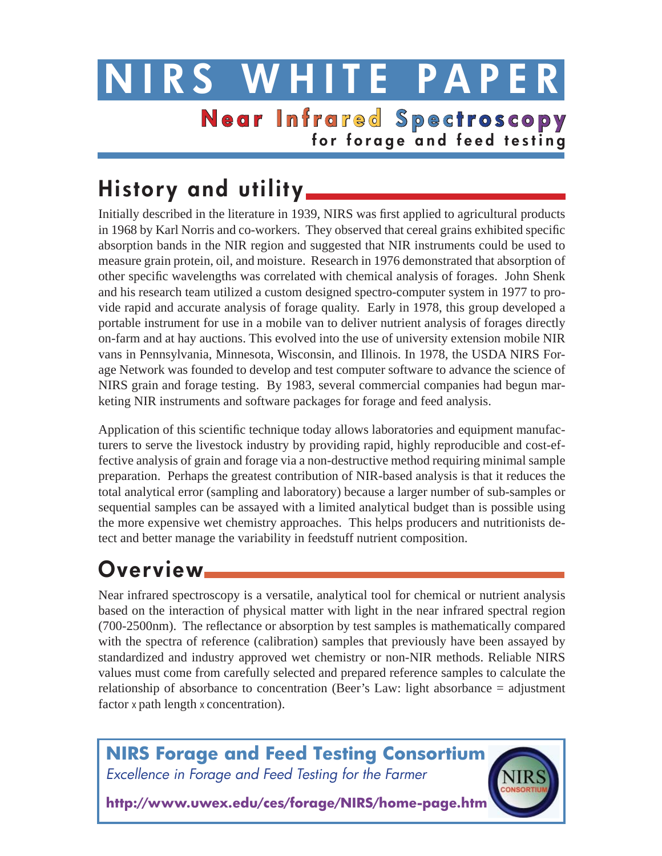# **NIRS WHITE PAPE NearInfra red Spec tros copy for forage and feed testing**

# **History and utility**

Initially described in the literature in 1939, NIRS was first applied to agricultural products in 1968 by Karl Norris and co-workers. They observed that cereal grains exhibited specific absorption bands in the NIR region and suggested that NIR instruments could be used to measure grain protein, oil, and moisture. Research in 1976 demonstrated that absorption of other specific wavelengths was correlated with chemical analysis of forages. John Shenk and his research team utilized a custom designed spectro-computer system in 1977 to provide rapid and accurate analysis of forage quality. Early in 1978, this group developed a portable instrument for use in a mobile van to deliver nutrient analysis of forages directly on-farm and at hay auctions. This evolved into the use of university extension mobile NIR vans in Pennsylvania, Minnesota, Wisconsin, and Illinois. In 1978, the USDA NIRS Forage Network was founded to develop and test computer software to advance the science of NIRS grain and forage testing. By 1983, several commercial companies had begun marketing NIR instruments and software packages for forage and feed analysis.

Application of this scientific technique today allows laboratories and equipment manufacturers to serve the livestock industry by providing rapid, highly reproducible and cost-effective analysis of grain and forage via a non-destructive method requiring minimal sample preparation. Perhaps the greatest contribution of NIR-based analysis is that it reduces the total analytical error (sampling and laboratory) because a larger number of sub-samples or sequential samples can be assayed with a limited analytical budget than is possible using the more expensive wet chemistry approaches. This helps producers and nutritionists detect and better manage the variability in feedstuff nutrient composition.

# **Overview**

Near infrared spectroscopy is a versatile, analytical tool for chemical or nutrient analysis based on the interaction of physical matter with light in the near infrared spectral region (700-2500nm). The reflectance or absorption by test samples is mathematically compared with the spectra of reference (calibration) samples that previously have been assayed by standardized and industry approved wet chemistry or non-NIR methods. Reliable NIRS values must come from carefully selected and prepared reference samples to calculate the relationship of absorbance to concentration (Beer's Law: light absorbance = adjustment factor x path length x concentration).

**NIRS Forage and Feed Testing Consortium**  *Excellence in Forage and Feed Testing for the Farmer*

**http://www.uwex.edu/ces/forage/NIRS/home-page.htm**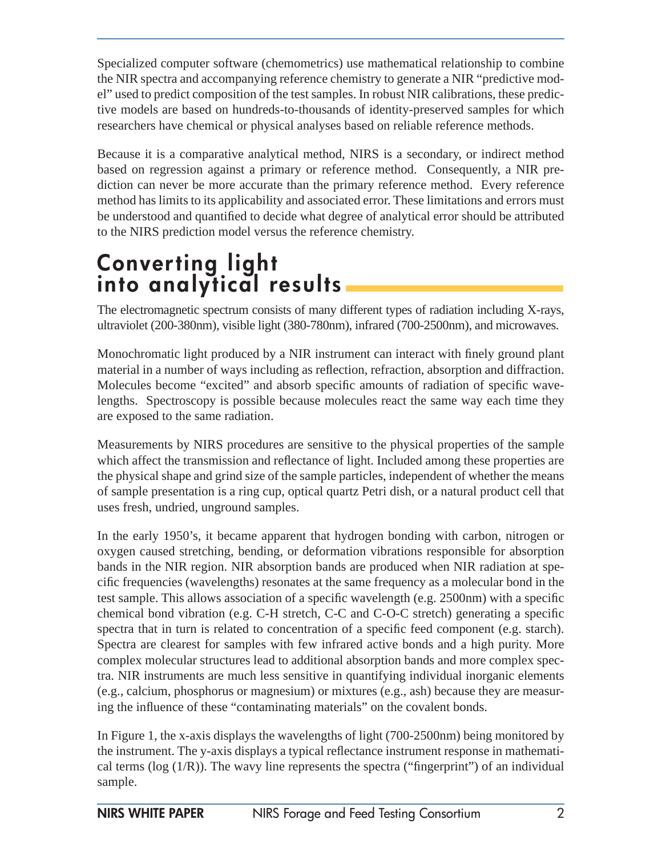Specialized computer software (chemometrics) use mathematical relationship to combine the NIR spectra and accompanying reference chemistry to generate a NIR "predictive model" used to predict composition of the test samples. In robust NIR calibrations, these predictive models are based on hundreds-to-thousands of identity-preserved samples for which researchers have chemical or physical analyses based on reliable reference methods.

Because it is a comparative analytical method, NIRS is a secondary, or indirect method based on regression against a primary or reference method. Consequently, a NIR prediction can never be more accurate than the primary reference method. Every reference method has limits to its applicability and associated error. These limitations and errors must be understood and quantified to decide what degree of analytical error should be attributed to the NIRS prediction model versus the reference chemistry.

## **Converting light into analytical results**

The electromagnetic spectrum consists of many different types of radiation including X-rays, ultraviolet (200-380nm), visible light (380-780nm), infrared (700-2500nm), and microwaves.

Monochromatic light produced by a NIR instrument can interact with finely ground plant material in a number of ways including as reflection, refraction, absorption and diffraction. Molecules become "excited" and absorb specific amounts of radiation of specific wavelengths. Spectroscopy is possible because molecules react the same way each time they are exposed to the same radiation.

Measurements by NIRS procedures are sensitive to the physical properties of the sample which affect the transmission and reflectance of light. Included among these properties are the physical shape and grind size of the sample particles, independent of whether the means of sample presentation is a ring cup, optical quartz Petri dish, or a natural product cell that uses fresh, undried, unground samples.

In the early 1950's, it became apparent that hydrogen bonding with carbon, nitrogen or oxygen caused stretching, bending, or deformation vibrations responsible for absorption bands in the NIR region. NIR absorption bands are produced when NIR radiation at specific frequencies (wavelengths) resonates at the same frequency as a molecular bond in the test sample. This allows association of a specific wavelength (e.g.  $2500$ nm) with a specific chemical bond vibration (e.g. C-H stretch, C-C and C-O-C stretch) generating a specific spectra that in turn is related to concentration of a specific feed component (e.g. starch). Spectra are clearest for samples with few infrared active bonds and a high purity. More complex molecular structures lead to additional absorption bands and more complex spectra. NIR instruments are much less sensitive in quantifying individual inorganic elements (e.g., calcium, phosphorus or magnesium) or mixtures (e.g., ash) because they are measuring the influence of these "contaminating materials" on the covalent bonds.

In Figure 1, the x-axis displays the wavelengths of light (700-2500nm) being monitored by the instrument. The y-axis displays a typical reflectance instrument response in mathematical terms ( $log (1/R)$ ). The wavy line represents the spectra ("fingerprint") of an individual sample.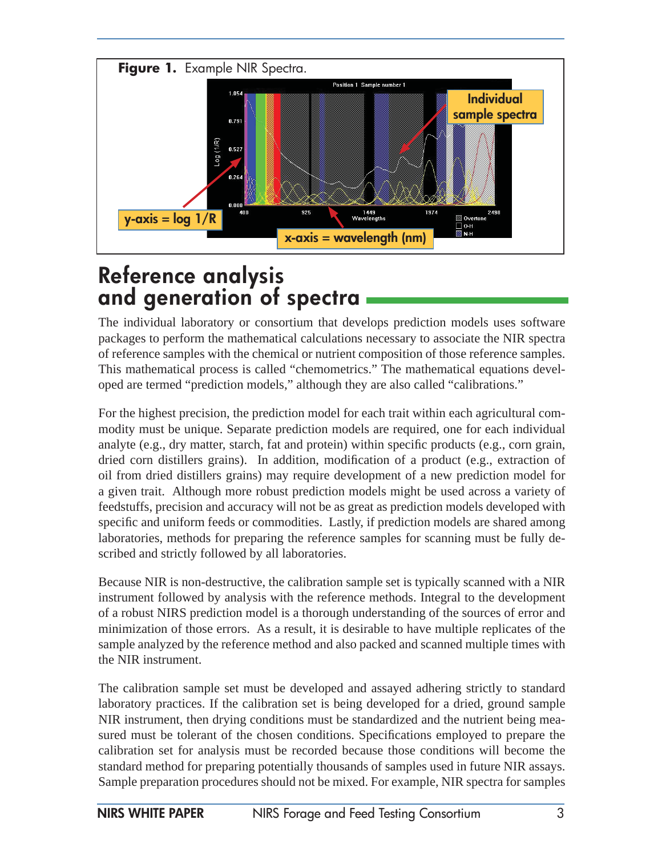

## **Reference analysis and generation of spectra**

The individual laboratory or consortium that develops prediction models uses software packages to perform the mathematical calculations necessary to associate the NIR spectra of reference samples with the chemical or nutrient composition of those reference samples. This mathematical process is called "chemometrics." The mathematical equations developed are termed "prediction models," although they are also called "calibrations."

For the highest precision, the prediction model for each trait within each agricultural commodity must be unique. Separate prediction models are required, one for each individual analyte (e.g., dry matter, starch, fat and protein) within specific products (e.g., corn grain, dried corn distillers grains). In addition, modification of a product (e.g., extraction of oil from dried distillers grains) may require development of a new prediction model for a given trait. Although more robust prediction models might be used across a variety of feedstuffs, precision and accuracy will not be as great as prediction models developed with specific and uniform feeds or commodities. Lastly, if prediction models are shared among laboratories, methods for preparing the reference samples for scanning must be fully described and strictly followed by all laboratories.

Because NIR is non-destructive, the calibration sample set is typically scanned with a NIR instrument followed by analysis with the reference methods. Integral to the development of a robust NIRS prediction model is a thorough understanding of the sources of error and minimization of those errors. As a result, it is desirable to have multiple replicates of the sample analyzed by the reference method and also packed and scanned multiple times with the NIR instrument.

The calibration sample set must be developed and assayed adhering strictly to standard laboratory practices. If the calibration set is being developed for a dried, ground sample NIR instrument, then drying conditions must be standardized and the nutrient being measured must be tolerant of the chosen conditions. Specifications employed to prepare the calibration set for analysis must be recorded because those conditions will become the standard method for preparing potentially thousands of samples used in future NIR assays. Sample preparation procedures should not be mixed. For example, NIR spectra for samples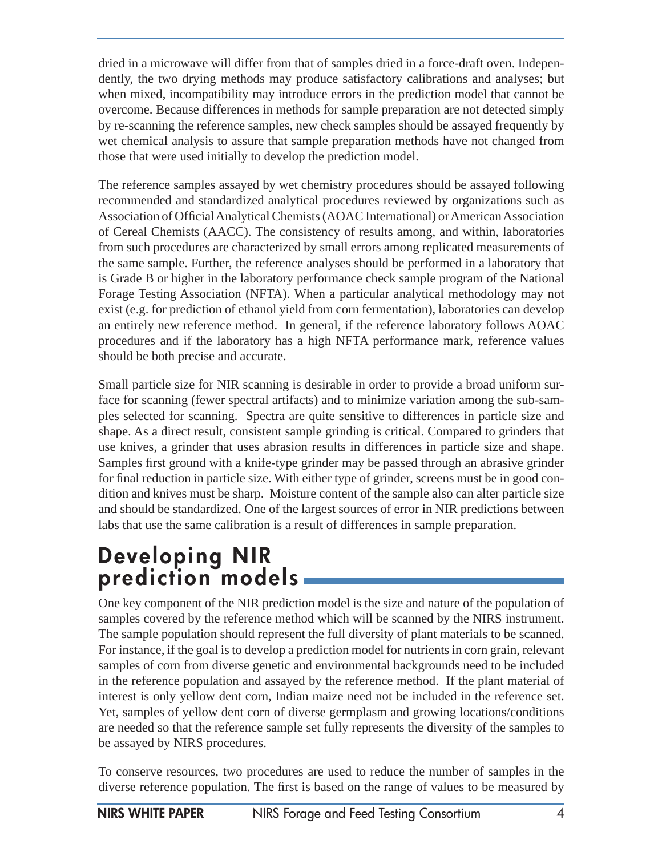dried in a microwave will differ from that of samples dried in a force-draft oven. Independently, the two drying methods may produce satisfactory calibrations and analyses; but when mixed, incompatibility may introduce errors in the prediction model that cannot be overcome. Because differences in methods for sample preparation are not detected simply by re-scanning the reference samples, new check samples should be assayed frequently by wet chemical analysis to assure that sample preparation methods have not changed from those that were used initially to develop the prediction model.

The reference samples assayed by wet chemistry procedures should be assayed following recommended and standardized analytical procedures reviewed by organizations such as Association of Official Analytical Chemists (AOAC International) or American Association of Cereal Chemists (AACC). The consistency of results among, and within, laboratories from such procedures are characterized by small errors among replicated measurements of the same sample. Further, the reference analyses should be performed in a laboratory that is Grade B or higher in the laboratory performance check sample program of the National Forage Testing Association (NFTA). When a particular analytical methodology may not exist (e.g. for prediction of ethanol yield from corn fermentation), laboratories can develop an entirely new reference method. In general, if the reference laboratory follows AOAC procedures and if the laboratory has a high NFTA performance mark, reference values should be both precise and accurate.

Small particle size for NIR scanning is desirable in order to provide a broad uniform surface for scanning (fewer spectral artifacts) and to minimize variation among the sub-samples selected for scanning. Spectra are quite sensitive to differences in particle size and shape. As a direct result, consistent sample grinding is critical. Compared to grinders that use knives, a grinder that uses abrasion results in differences in particle size and shape. Samples first ground with a knife-type grinder may be passed through an abrasive grinder for final reduction in particle size. With either type of grinder, screens must be in good condition and knives must be sharp. Moisture content of the sample also can alter particle size and should be standardized. One of the largest sources of error in NIR predictions between labs that use the same calibration is a result of differences in sample preparation.

## **Developing NIR prediction models**

One key component of the NIR prediction model is the size and nature of the population of samples covered by the reference method which will be scanned by the NIRS instrument. The sample population should represent the full diversity of plant materials to be scanned. For instance, if the goal is to develop a prediction model for nutrients in corn grain, relevant samples of corn from diverse genetic and environmental backgrounds need to be included in the reference population and assayed by the reference method. If the plant material of interest is only yellow dent corn, Indian maize need not be included in the reference set. Yet, samples of yellow dent corn of diverse germplasm and growing locations/conditions are needed so that the reference sample set fully represents the diversity of the samples to be assayed by NIRS procedures.

To conserve resources, two procedures are used to reduce the number of samples in the diverse reference population. The first is based on the range of values to be measured by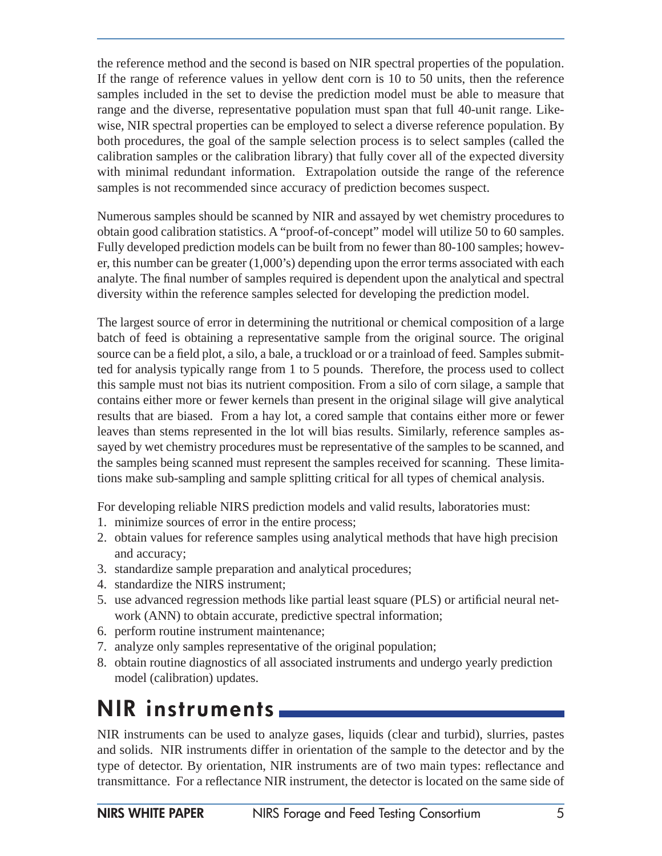the reference method and the second is based on NIR spectral properties of the population. If the range of reference values in yellow dent corn is 10 to 50 units, then the reference samples included in the set to devise the prediction model must be able to measure that range and the diverse, representative population must span that full 40-unit range. Likewise, NIR spectral properties can be employed to select a diverse reference population. By both procedures, the goal of the sample selection process is to select samples (called the calibration samples or the calibration library) that fully cover all of the expected diversity with minimal redundant information. Extrapolation outside the range of the reference samples is not recommended since accuracy of prediction becomes suspect.

Numerous samples should be scanned by NIR and assayed by wet chemistry procedures to obtain good calibration statistics. A "proof-of-concept" model will utilize 50 to 60 samples. Fully developed prediction models can be built from no fewer than 80-100 samples; however, this number can be greater (1,000's) depending upon the error terms associated with each analyte. The final number of samples required is dependent upon the analytical and spectral diversity within the reference samples selected for developing the prediction model.

The largest source of error in determining the nutritional or chemical composition of a large batch of feed is obtaining a representative sample from the original source. The original source can be a field plot, a silo, a bale, a truckload or or a trainload of feed. Samples submitted for analysis typically range from 1 to 5 pounds. Therefore, the process used to collect this sample must not bias its nutrient composition. From a silo of corn silage, a sample that contains either more or fewer kernels than present in the original silage will give analytical results that are biased. From a hay lot, a cored sample that contains either more or fewer leaves than stems represented in the lot will bias results. Similarly, reference samples assayed by wet chemistry procedures must be representative of the samples to be scanned, and the samples being scanned must represent the samples received for scanning. These limitations make sub-sampling and sample splitting critical for all types of chemical analysis.

For developing reliable NIRS prediction models and valid results, laboratories must:

- 1. minimize sources of error in the entire process;
- 2. obtain values for reference samples using analytical methods that have high precision and accuracy;
- 3. standardize sample preparation and analytical procedures;
- 4. standardize the NIRS instrument;
- 5. use advanced regression methods like partial least square (PLS) or artificial neural network (ANN) to obtain accurate, predictive spectral information;
- 6. perform routine instrument maintenance;
- 7. analyze only samples representative of the original population;
- 8. obtain routine diagnostics of all associated instruments and undergo yearly prediction model (calibration) updates.

## **NIR instruments**

NIR instruments can be used to analyze gases, liquids (clear and turbid), slurries, pastes and solids. NIR instruments differ in orientation of the sample to the detector and by the type of detector. By orientation, NIR instruments are of two main types: reflectance and transmittance. For a reflectance NIR instrument, the detector is located on the same side of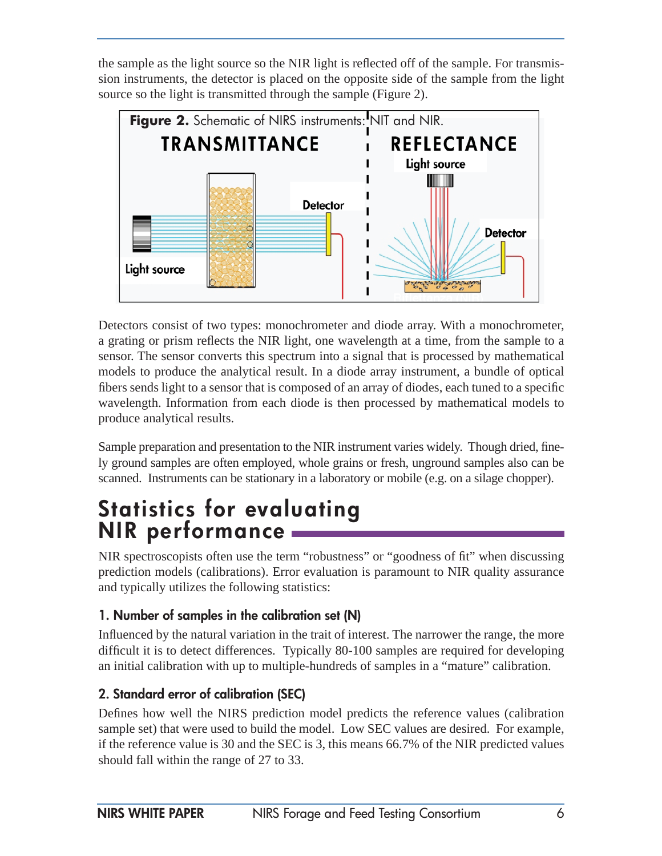the sample as the light source so the NIR light is reflected off of the sample. For transmission instruments, the detector is placed on the opposite side of the sample from the light source so the light is transmitted through the sample (Figure 2).



Detectors consist of two types: monochrometer and diode array. With a monochrometer, a grating or prism reflects the NIR light, one wavelength at a time, from the sample to a sensor. The sensor converts this spectrum into a signal that is processed by mathematical models to produce the analytical result. In a diode array instrument, a bundle of optical fibers sends light to a sensor that is composed of an array of diodes, each tuned to a specific wavelength. Information from each diode is then processed by mathematical models to produce analytical results.

Sample preparation and presentation to the NIR instrument varies widely. Though dried, finely ground samples are often employed, whole grains or fresh, unground samples also can be scanned. Instruments can be stationary in a laboratory or mobile (e.g. on a silage chopper).

## **Statistics for evaluating NIR performance**

NIR spectroscopists often use the term "robustness" or "goodness of fit" when discussing prediction models (calibrations). Error evaluation is paramount to NIR quality assurance and typically utilizes the following statistics:

### **1. Number of samples in the calibration set (N)**

Influenced by the natural variation in the trait of interest. The narrower the range, the more difficult it is to detect differences. Typically 80-100 samples are required for developing an initial calibration with up to multiple-hundreds of samples in a "mature" calibration.

### **2. Standard error of calibration (SEC)**

Defines how well the NIRS prediction model predicts the reference values (calibration sample set) that were used to build the model. Low SEC values are desired. For example, if the reference value is 30 and the SEC is 3, this means 66.7% of the NIR predicted values should fall within the range of 27 to 33.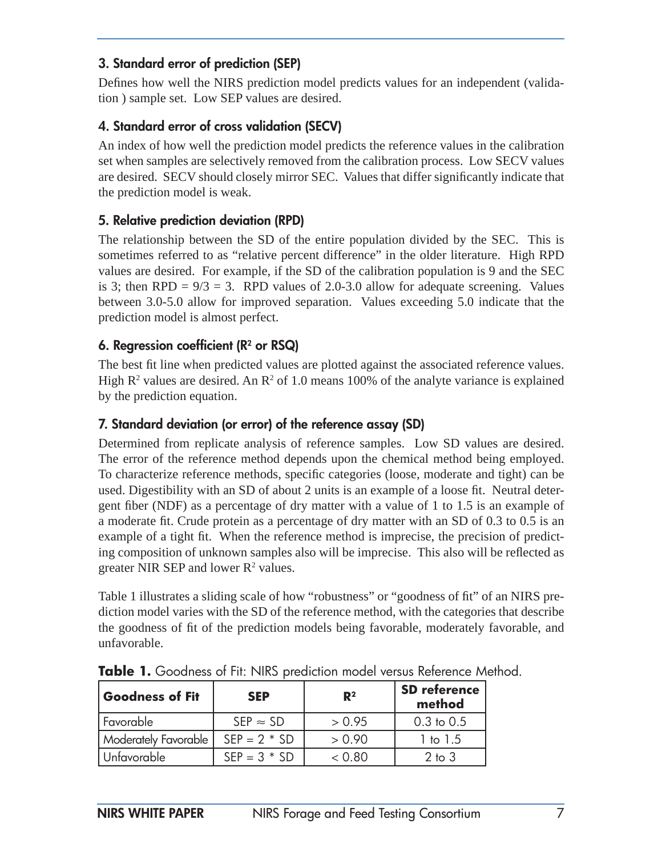#### **3. Standard error of prediction (SEP)**

Defines how well the NIRS prediction model predicts values for an independent (validation ) sample set. Low SEP values are desired.

### **4. Standard error of cross validation (SECV)**

An index of how well the prediction model predicts the reference values in the calibration set when samples are selectively removed from the calibration process. Low SECV values are desired. SECV should closely mirror SEC. Values that differ significantly indicate that the prediction model is weak.

#### **5. Relative prediction deviation (RPD)**

The relationship between the SD of the entire population divided by the SEC. This is sometimes referred to as "relative percent difference" in the older literature. High RPD values are desired. For example, if the SD of the calibration population is 9 and the SEC is 3; then  $RPD = 9/3 = 3$ . RPD values of 2.0-3.0 allow for adequate screening. Values between 3.0-5.0 allow for improved separation. Values exceeding 5.0 indicate that the prediction model is almost perfect.

#### **6. Regression coefficient (R<sup>2</sup> or RSQ)**

The best fit line when predicted values are plotted against the associated reference values. High  $\mathbb{R}^2$  values are desired. An  $\mathbb{R}^2$  of 1.0 means 100% of the analyte variance is explained by the prediction equation.

#### **7. Standard deviation (or error) of the reference assay (SD)**

Determined from replicate analysis of reference samples. Low SD values are desired. The error of the reference method depends upon the chemical method being employed. To characterize reference methods, specific categories (loose, moderate and tight) can be used. Digestibility with an SD of about 2 units is an example of a loose fit. Neutral detergent fiber (NDF) as a percentage of dry matter with a value of 1 to 1.5 is an example of a moderate fit. Crude protein as a percentage of dry matter with an SD of 0.3 to 0.5 is an example of a tight fit. When the reference method is imprecise, the precision of predicting composition of unknown samples also will be imprecise. This also will be reflected as greater NIR SEP and lower  $R^2$  values.

Table 1 illustrates a sliding scale of how "robustness" or "goodness of fit" of an NIRS prediction model varies with the SD of the reference method, with the categories that describe the goodness of fit of the prediction models being favorable, moderately favorable, and unfavorable.

| Goodness of Fit      | <b>SEP</b>       | $\mathbb{R}^2$ | <b>SD</b> reference<br>method |
|----------------------|------------------|----------------|-------------------------------|
| ' Favorable          | $SEP \approx SD$ | > 0.95         | $0.3$ to $0.5$                |
| Moderately Favorable | $SFP = 2 * SD$   | > 0.90         | 1 to 1.5                      |
| Unfavorable          | $SEP = 3 * SD$   | < 0.80         | $2$ to $3$                    |

**Table 1.** Goodness of Fit: NIRS prediction model versus Reference Method.